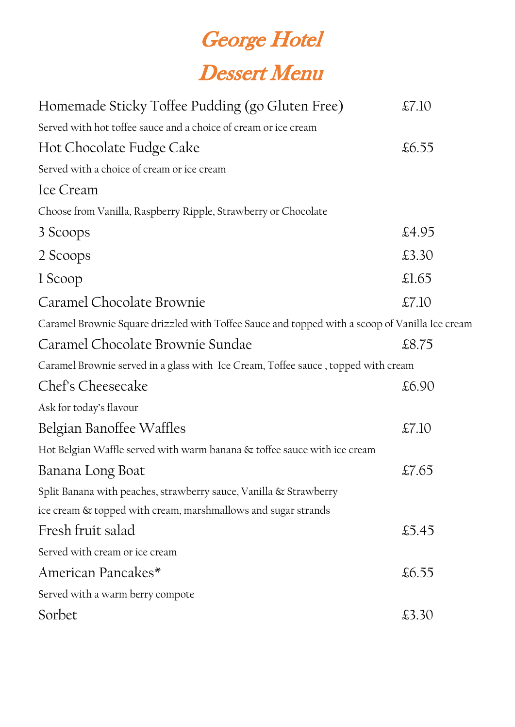## **George Hotel Dessert Menu**

| Homemade Sticky Toffee Pudding (go Gluten Free)                                                | $\pounds$ 7.10 |  |
|------------------------------------------------------------------------------------------------|----------------|--|
| Served with hot toffee sauce and a choice of cream or ice cream                                |                |  |
| Hot Chocolate Fudge Cake                                                                       | £6.55          |  |
| Served with a choice of cream or ice cream                                                     |                |  |
| Ice Cream                                                                                      |                |  |
| Choose from Vanilla, Raspberry Ripple, Strawberry or Chocolate                                 |                |  |
| 3 Scoops                                                                                       | £4.95          |  |
| 2 Scoops                                                                                       | £3.30          |  |
| 1 Scoop                                                                                        | $\pounds1.65$  |  |
| Caramel Chocolate Brownie                                                                      | $\pounds$ 7.10 |  |
| Caramel Brownie Square drizzled with Toffee Sauce and topped with a scoop of Vanilla Ice cream |                |  |
| Caramel Chocolate Brownie Sundae                                                               | £8.75          |  |
| Caramel Brownie served in a glass with Ice Cream, Toffee sauce, topped with cream              |                |  |
| Chef's Cheesecake                                                                              | £6.90          |  |
| Ask for today's flavour                                                                        |                |  |
| Belgian Banoffee Waffles                                                                       | $\pounds$ 7.10 |  |
| Hot Belgian Waffle served with warm banana & toffee sauce with ice cream                       |                |  |
| Banana Long Boat                                                                               | £7.65          |  |
| Split Banana with peaches, strawberry sauce, Vanilla & Strawberry                              |                |  |
| ice cream & topped with cream, marshmallows and sugar strands                                  |                |  |
| Fresh fruit salad                                                                              | £5.45          |  |
|                                                                                                |                |  |

Served with cream or ice cream

American Pancakes\*  $\text{\&}6.55$ 

Served with a warm berry compote

Sorbet  $\text{\textsterling}3.30$